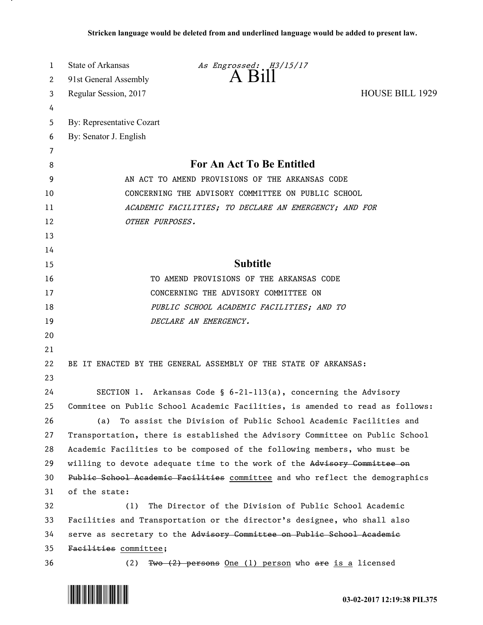| 1  | State of Arkansas<br>As Engrossed: H3/15/17                                   |
|----|-------------------------------------------------------------------------------|
| 2  | A Bill<br>91st General Assembly                                               |
| 3  | <b>HOUSE BILL 1929</b><br>Regular Session, 2017                               |
| 4  |                                                                               |
| 5  | By: Representative Cozart                                                     |
| 6  | By: Senator J. English                                                        |
| 7  |                                                                               |
| 8  | <b>For An Act To Be Entitled</b>                                              |
| 9  | AN ACT TO AMEND PROVISIONS OF THE ARKANSAS CODE                               |
| 10 | CONCERNING THE ADVISORY COMMITTEE ON PUBLIC SCHOOL                            |
| 11 | ACADEMIC FACILITIES; TO DECLARE AN EMERGENCY; AND FOR                         |
| 12 | OTHER PURPOSES.                                                               |
| 13 |                                                                               |
| 14 |                                                                               |
| 15 | <b>Subtitle</b>                                                               |
| 16 | TO AMEND PROVISIONS OF THE ARKANSAS CODE                                      |
| 17 | CONCERNING THE ADVISORY COMMITTEE ON                                          |
| 18 | PUBLIC SCHOOL ACADEMIC FACILITIES; AND TO                                     |
| 19 | DECLARE AN EMERGENCY.                                                         |
| 20 |                                                                               |
| 21 |                                                                               |
| 22 | BE IT ENACTED BY THE GENERAL ASSEMBLY OF THE STATE OF ARKANSAS:               |
| 23 |                                                                               |
| 24 | SECTION 1. Arkansas Code § 6-21-113(a), concerning the Advisory               |
| 25 | Commitee on Public School Academic Facilities, is amended to read as follows: |
| 26 | (a) To assist the Division of Public School Academic Facilities and           |
| 27 | Transportation, there is established the Advisory Committee on Public School  |
| 28 | Academic Facilities to be composed of the following members, who must be      |
| 29 | willing to devote adequate time to the work of the Advisory Committee on      |
| 30 | Public School Academic Facilities committee and who reflect the demographics  |
| 31 | of the state:                                                                 |
| 32 | The Director of the Division of Public School Academic<br>(1)                 |
| 33 | Facilities and Transportation or the director's designee, who shall also      |
| 34 | serve as secretary to the Advisory Committee on Public School Academic        |
| 35 | Facilities committee;                                                         |
| 36 | Two (2) persons One (1) person who are is a licensed<br>(2)                   |



.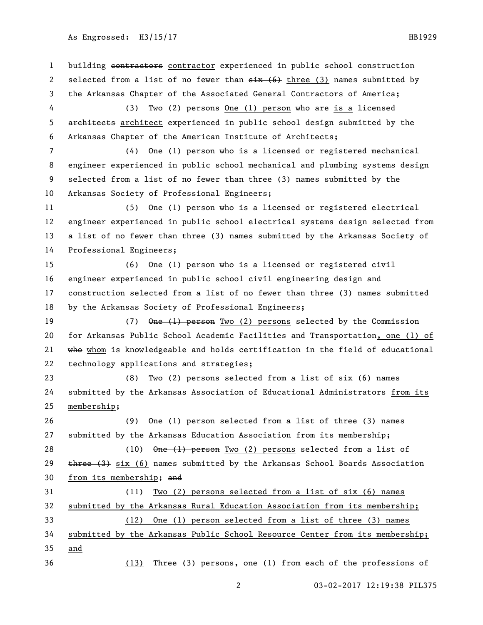1 building contractors contractor experienced in public school construction 2 selected from a list of no fewer than  $\frac{1}{x}$  (6) three (3) names submitted by the Arkansas Chapter of the Associated General Contractors of America; 4 (3) Two (2) persons One (1) person who are is a licensed 5 architects architect experienced in public school design submitted by the Arkansas Chapter of the American Institute of Architects; (4) One (1) person who is a licensed or registered mechanical engineer experienced in public school mechanical and plumbing systems design selected from a list of no fewer than three (3) names submitted by the Arkansas Society of Professional Engineers; (5) One (1) person who is a licensed or registered electrical engineer experienced in public school electrical systems design selected from a list of no fewer than three (3) names submitted by the Arkansas Society of Professional Engineers; (6) One (1) person who is a licensed or registered civil engineer experienced in public school civil engineering design and construction selected from a list of no fewer than three (3) names submitted by the Arkansas Society of Professional Engineers; 19 (7) One (1) person Two (2) persons selected by the Commission for Arkansas Public School Academic Facilities and Transportation, one (1) of 21 who whom is knowledgeable and holds certification in the field of educational technology applications and strategies; (8) Two (2) persons selected from a list of six (6) names submitted by the Arkansas Association of Educational Administrators from its membership; (9) One (1) person selected from a list of three (3) names submitted by the Arkansas Education Association from its membership; 28 (10) One (1) person Two (2) persons selected from a list of  $\frac{1}{2}$  three (3) six (6) names submitted by the Arkansas School Boards Association from its membership; and (11) Two (2) persons selected from a list of six (6) names submitted by the Arkansas Rural Education Association from its membership; (12) One (1) person selected from a list of three (3) names submitted by the Arkansas Public School Resource Center from its membership; and (13) Three (3) persons, one (1) from each of the professions of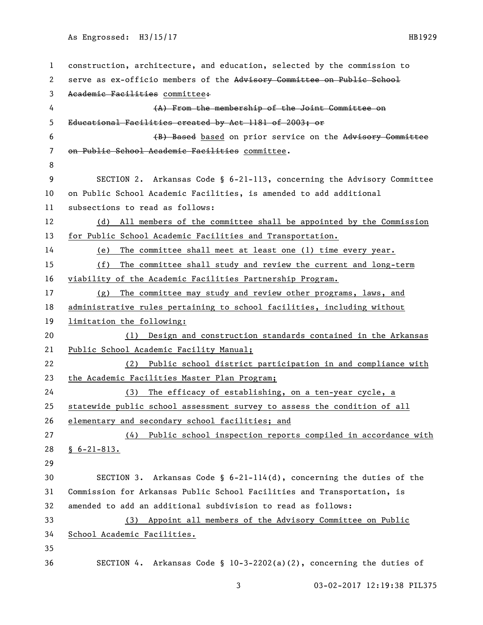```
1 construction, architecture, and education, selected by the commission to 
 2 serve as ex-officio members of the Advisory Committee on Public School
 3 Academic Facilities committee:
 4 (A) From the membership of the Joint Committee on 
5 Educational Facilities created by Act 1181 of 2003; or
6 (B) Based based on prior service on the Advisory Committee 
7 on Public School Academic Facilities committee.
8
9 SECTION 2. Arkansas Code § 6-21-113, concerning the Advisory Committee 
10 on Public School Academic Facilities, is amended to add additional 
11 subsections to read as follows:
12 (d) All members of the committee shall be appointed by the Commission 
13 for Public School Academic Facilities and Transportation.
14 (e) The committee shall meet at least one (1) time every year.
15 (f) The committee shall study and review the current and long-term 
16 viability of the Academic Facilities Partnership Program.
17 (g) The committee may study and review other programs, laws, and 
18 administrative rules pertaining to school facilities, including without 
19 limitation the following: 
20 (1) Design and construction standards contained in the Arkansas 
21 Public School Academic Facility Manual;
22 (2) Public school district participation in and compliance with 
23 the Academic Facilities Master Plan Program;
24 (3) The efficacy of establishing, on a ten-year cycle, a 
25 statewide public school assessment survey to assess the condition of all 
26 elementary and secondary school facilities; and
27 (4) Public school inspection reports compiled in accordance with 
28 § 6-21-813.
29
30 SECTION 3. Arkansas Code § 6-21-114(d), concerning the duties of the 
31 Commission for Arkansas Public School Facilities and Transportation, is 
32 amended to add an additional subdivision to read as follows:
33 (3) Appoint all members of the Advisory Committee on Public 
34 School Academic Facilities.
35
36 SECTION 4. Arkansas Code § 10-3-2202(a)(2), concerning the duties of
```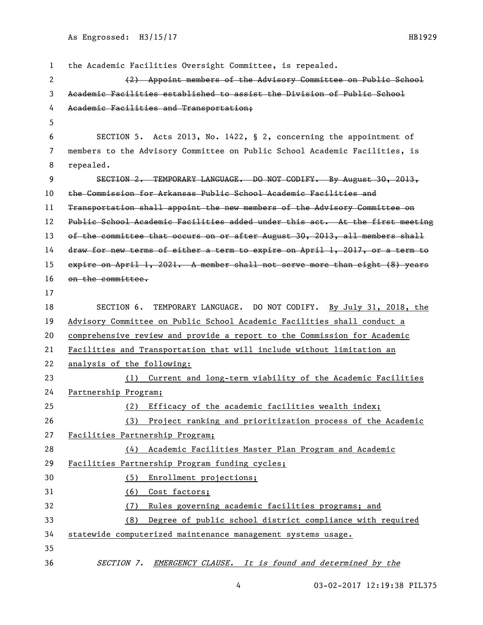| 1              | the Academic Facilities Oversight Committee, is repealed.                    |
|----------------|------------------------------------------------------------------------------|
| 2              | (2) Appoint members of the Advisory Committee on Public School               |
| 3              | Academic Facilities established to assist the Division of Public School      |
| 4              | Academic Facilities and Transportation;                                      |
| 5              |                                                                              |
| 6              | SECTION 5. Acts 2013, No. 1422, § 2, concerning the appointment of           |
| $\overline{7}$ | members to the Advisory Committee on Public School Academic Facilities, is   |
| 8              | repealed.                                                                    |
| 9              | SECTION 2. TEMPORARY LANGUAGE. DO NOT CODIFY. By August 30, 2013,            |
| 10             | the Commission for Arkansas Public School Academic Facilities and            |
| 11             | Transportation shall appoint the new members of the Advisory Committee on    |
| 12             | Public School Academic Facilities added under this act. At the first meeting |
| 13             | of the committee that occurs on or after August 30, 2013, all members shall  |
| 14             | draw for new terms of either a term to expire on April 1, 2017, or a term to |
| 15             | expire on April 1, 2021. A member shall not serve more than eight (8) years  |
| 16             | on the committee.                                                            |
| 17             |                                                                              |
| 18             | SECTION 6. TEMPORARY LANGUAGE. DO NOT CODIFY. By July 31, 2018, the          |
| 19             | Advisory Committee on Public School Academic Facilities shall conduct a      |
| 20             | comprehensive review and provide a report to the Commission for Academic     |
| 21             | Facilities and Transportation that will include without limitation an        |
| 22             | analysis of the following:                                                   |
| 23             | (1) Current and long-term viability of the Academic Facilities               |
| 24             | Partnership Program;                                                         |
| 25             | (2) Efficacy of the academic facilities wealth index;                        |
| 26             | (3) Project ranking and prioritization process of the Academic               |
| 27             | Facilities Partnership Program;                                              |
| 28             | Academic Facilities Master Plan Program and Academic<br>(4)                  |
| 29             | Facilities Partnership Program funding cycles;                               |
| 30             | Enrollment projections;<br>(5)                                               |
| 31             | Cost factors;<br>(6)                                                         |
| 32             | Rules governing academic facilities programs; and<br>(7)                     |
| 33             | Degree of public school district compliance with required<br>(8)             |
| 34             | statewide computerized maintenance management systems usage.                 |
| 35             |                                                                              |
| 36             | SECTION 7. EMERGENCY CLAUSE. It is found and determined by the               |